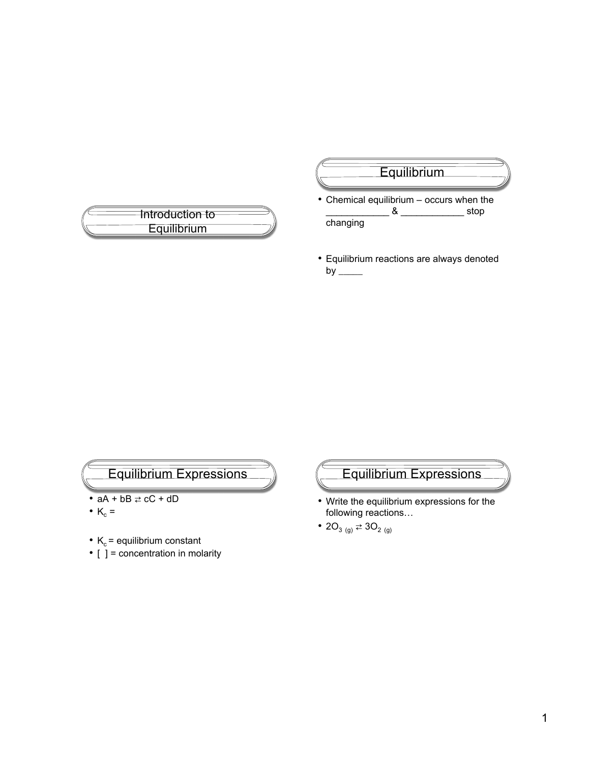

## **Equilibrium**

- Chemical equilibrium occurs when the \_\_\_\_\_\_\_\_\_\_\_\_ & \_\_\_\_\_\_\_\_\_\_\_\_ stop changing
- Equilibrium reactions are always denoted by  $\frac{1}{2}$



- $aA + bB \rightleftarrows cC + dD$
- $K_c =$
- $K_c$  = equilibrium constant
- $\bullet$  [  $\overline{\phantom{a}}$  = concentration in molarity

Equilibrium Expressions

- Write the equilibrium expressions for the following reactions…
- 20<sub>3 (g)</sub>  $\rightleftarrows$  30<sub>2 (g)</sub>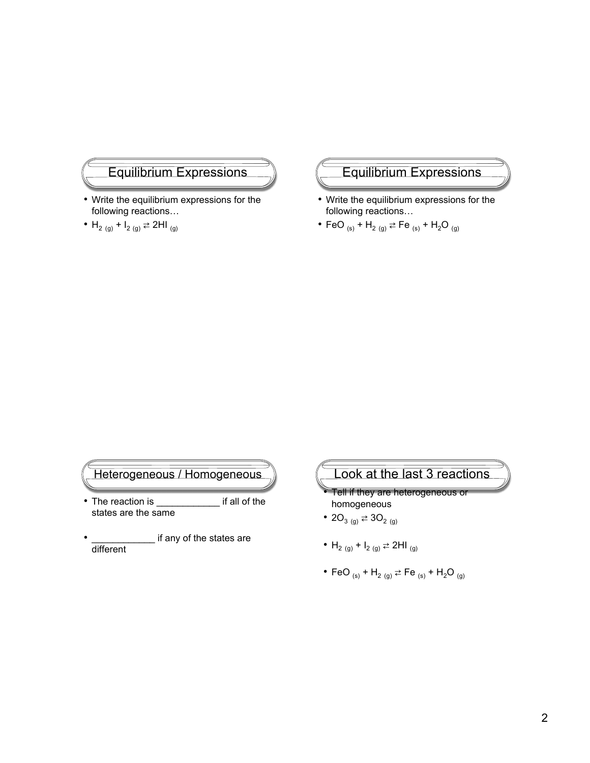## Equilibrium Expressions

- Write the equilibrium expressions for the following reactions…
- $H_{2 (g)} + I_{2 (g)} \rightleftarrows 2H I_{(g)}$

#### Equilibrium Expressions

- Write the equilibrium expressions for the following reactions…
- FeO  $_{(s)}$  + H<sub>2</sub>  $_{(g)}$   $\rightleftharpoons$  Fe  $_{(s)}$  + H<sub>2</sub>O  $_{(g)}$

#### Heterogeneous / Homogeneous

- The reaction is \_\_\_\_\_\_\_\_\_\_\_\_\_\_ if all of the states are the same
- $\_$  if any of the states are different

# Look at the last 3 reactions • Tell if they are heterogeneous or

- homogeneous • 20<sub>3 (g)</sub>  $\rightleftarrows$  30<sub>2 (g)</sub>
- H<sub>2 (g)</sub> + I<sub>2 (g)</sub>  $\rightleftarrows$  2HI <sub>(g)</sub>
- FeO  $_{(s)}$  + H<sub>2</sub>  $_{(g)}$   $\rightleftarrows$  Fe  $_{(s)}$  + H<sub>2</sub>O  $_{(g)}$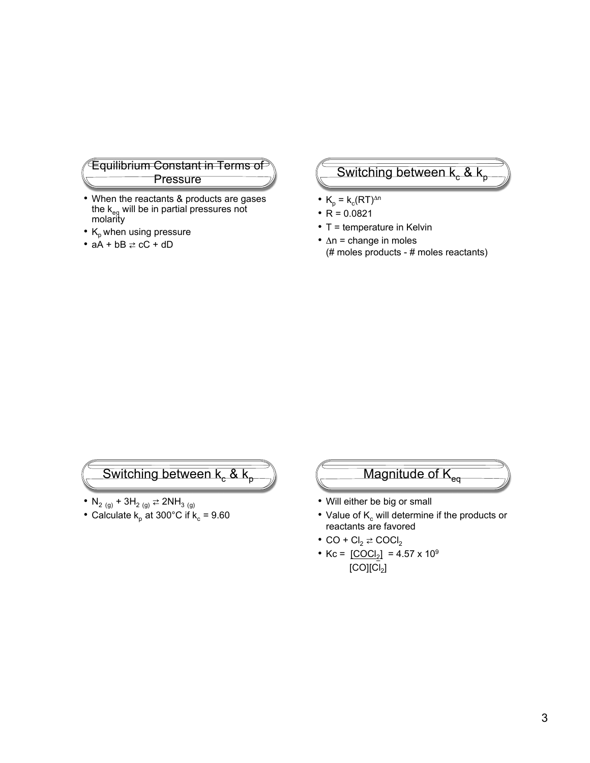#### Equilibrium Constant in Terms of Pressure

- When the reactants & products are gases the k<sub>eq</sub> will be in partial pressures not molarity
- $K_p$  when using pressure
- $aA + bB \rightleftarrows cC + dD$

## Switching between  $k_c$

- $K_p = k_c (RT)^{\Delta n}$
- $R = 0.0821$
- T = temperature in Kelvin
- $\cdot$   $\Delta n$  = change in moles (# moles products - # moles reactants)

## Switching between  $k_c$  & k

- $N_{2 (g)} + 3H_{2 (g)} \rightleftarrows 2NH_{3 (g)}$
- Calculate  $k_p$  at 300°C if  $k_c$  = 9.60



- Will either be big or small
- Value of  $K_c$  will determine if the products or reactants are favored
- CO +  $Cl_2 \rightleftarrows$  COCl<sub>2</sub>
- Kc =  $[COCl<sub>2</sub>]$  = 4.57 x 10<sup>9</sup>  $[CO][Cl<sub>2</sub>]$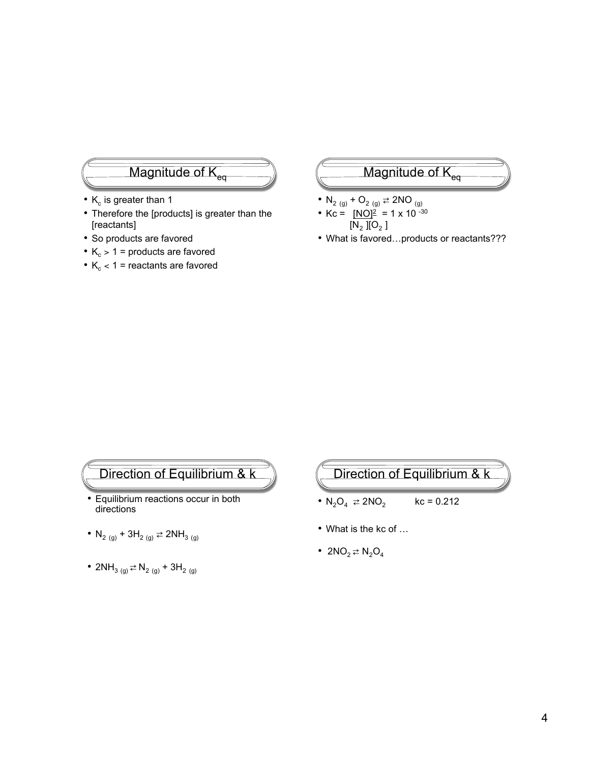## Magnitude of K

- $K_c$  is greater than 1
- Therefore the [products] is greater than the [reactants]
- So products are favored
- $K_c > 1$  = products are favored
- $K_c < 1$  = reactants are favored

## Magnitude of  $K_q$

- $N_{2 (g)} + O_{2 (g)} \rightleftarrows 2NO_{(g)}$
- Kc =  $[NO]^2 = 1 \times 10^{-30}$  $[N_2] [O_2]$
- What is favored...products or reactants???

## Direction of Equilibrium & k

- Equilibrium reactions occur in both directions
- N<sub>2 (g)</sub> + 3H<sub>2 (g)</sub>  $\rightleftarrows$  2NH<sub>3 (g)</sub>
- 2NH<sub>3 (g)</sub>  $\Rightarrow$  N<sub>2 (g)</sub> + 3H<sub>2 (g)</sub>

## Direction of Equilibrium & k

- $N_2O_4 \neq 2NO_2$  kc = 0.212
- What is the kc of ...
- $2NO<sub>2</sub> \rightleftarrows N<sub>2</sub>O<sub>4</sub>$